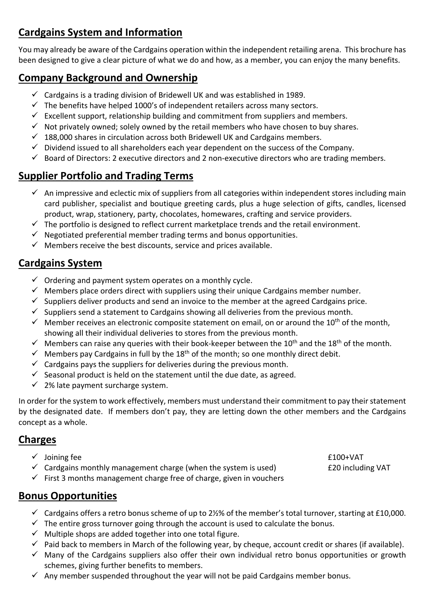# **Cardgains System and Information**

You may already be aware of the Cardgains operation within the independent retailing arena. This brochure has been designed to give a clear picture of what we do and how, as a member, you can enjoy the many benefits.

## **Company Background and Ownership**

- $\checkmark$  Cardgains is a trading division of Bridewell UK and was established in 1989.
- $\checkmark$  The benefits have helped 1000's of independent retailers across many sectors.
- $\checkmark$  Excellent support, relationship building and commitment from suppliers and members.
- $\checkmark$  Not privately owned; solely owned by the retail members who have chosen to buy shares.
- $\checkmark$  188,000 shares in circulation across both Bridewell UK and Cardgains members.
- $\checkmark$  Dividend issued to all shareholders each year dependent on the success of the Company.
- $\checkmark$  Board of Directors: 2 executive directors and 2 non-executive directors who are trading members.

### **Supplier Portfolio and Trading Terms**

- $\checkmark$  An impressive and eclectic mix of suppliers from all categories within independent stores including main card publisher, specialist and boutique greeting cards, plus a huge selection of gifts, candles, licensed product, wrap, stationery, party, chocolates, homewares, crafting and service providers.
- $\checkmark$  The portfolio is designed to reflect current marketplace trends and the retail environment.
- $\checkmark$  Negotiated preferential member trading terms and bonus opportunities.
- $\checkmark$  Members receive the best discounts, service and prices available.

### **Cardgains System**

- $\checkmark$  Ordering and payment system operates on a monthly cycle.
- $\checkmark$  Members place orders direct with suppliers using their unique Cardgains member number.
- $\checkmark$  Suppliers deliver products and send an invoice to the member at the agreed Cardgains price.
- $\checkmark$  Suppliers send a statement to Cardgains showing all deliveries from the previous month.
- $\checkmark$  Member receives an electronic composite statement on email, on or around the 10<sup>th</sup> of the month, showing all their individual deliveries to stores from the previous month.
- $\checkmark$  Members can raise any queries with their book-keeper between the 10<sup>th</sup> and the 18<sup>th</sup> of the month.
- $\checkmark$  Members pay Cardgains in full by the 18<sup>th</sup> of the month; so one monthly direct debit.
- $\checkmark$  Cardgains pays the suppliers for deliveries during the previous month.
- $\checkmark$  Seasonal product is held on the statement until the due date, as agreed.
- $\checkmark$  2% late payment surcharge system.

In order for the system to work effectively, members must understand their commitment to pay their statement by the designated date. If members don't pay, they are letting down the other members and the Cardgains concept as a whole.

#### **Charges**

- $\checkmark$  Joining fee  $f$  for  $f$  and  $f$  and  $f$  and  $f$  and  $f$  and  $f$  and  $f$  and  $f$  and  $f$  and  $f$  and  $f$  and  $f$  and  $f$  and  $f$  and  $f$  and  $f$  and  $f$  and  $f$  and  $f$  and  $f$  and  $f$  and  $f$  and  $f$  and  $f$  and  $f$
- $\checkmark$  Cardgains monthly management charge (when the system is used) E20 including VAT

 $\checkmark$  First 3 months management charge free of charge, given in vouchers

#### **Bonus Opportunities**

- $\checkmark$  Cardgains offers a retro bonus scheme of up to 2½% of the member's total turnover, starting at £10,000.
- $\checkmark$  The entire gross turnover going through the account is used to calculate the bonus.
- $\checkmark$  Multiple shops are added together into one total figure.
- $\checkmark$  Paid back to members in March of the following year, by cheque, account credit or shares (if available).
- $\checkmark$  Many of the Cardgains suppliers also offer their own individual retro bonus opportunities or growth schemes, giving further benefits to members.
- $\checkmark$  Any member suspended throughout the year will not be paid Cardgains member bonus.